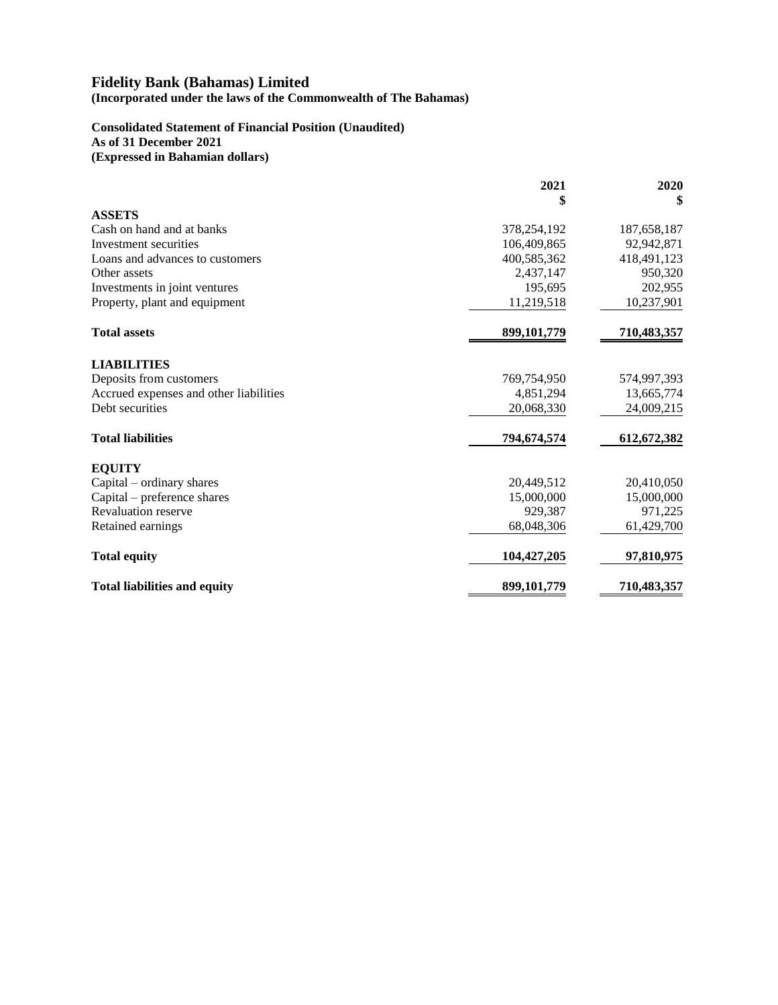**(Incorporated under the laws of the Commonwealth of The Bahamas)**

# **Consolidated Statement of Financial Position (Unaudited)**

**As of 31 December 2021**

**(Expressed in Bahamian dollars)**

|                                        | 2021          | 2020          |
|----------------------------------------|---------------|---------------|
|                                        | \$            | \$            |
| <b>ASSETS</b>                          |               |               |
| Cash on hand and at banks              | 378,254,192   | 187,658,187   |
| Investment securities                  | 106,409,865   | 92,942,871    |
| Loans and advances to customers        | 400,585,362   | 418, 491, 123 |
| Other assets                           | 2,437,147     | 950,320       |
| Investments in joint ventures          | 195,695       | 202,955       |
| Property, plant and equipment          | 11,219,518    | 10,237,901    |
| <b>Total assets</b>                    | 899,101,779   | 710,483,357   |
| <b>LIABILITIES</b>                     |               |               |
| Deposits from customers                | 769,754,950   | 574,997,393   |
| Accrued expenses and other liabilities | 4,851,294     | 13,665,774    |
| Debt securities                        | 20,068,330    | 24,009,215    |
| <b>Total liabilities</b>               | 794,674,574   | 612,672,382   |
| <b>EOUITY</b>                          |               |               |
| Capital – ordinary shares              | 20,449,512    | 20,410,050    |
| Capital – preference shares            | 15,000,000    | 15,000,000    |
| <b>Revaluation reserve</b>             | 929,387       | 971,225       |
| Retained earnings                      | 68,048,306    | 61,429,700    |
| <b>Total equity</b>                    | 104, 427, 205 | 97,810,975    |
| <b>Total liabilities and equity</b>    | 899, 101, 779 | 710,483,357   |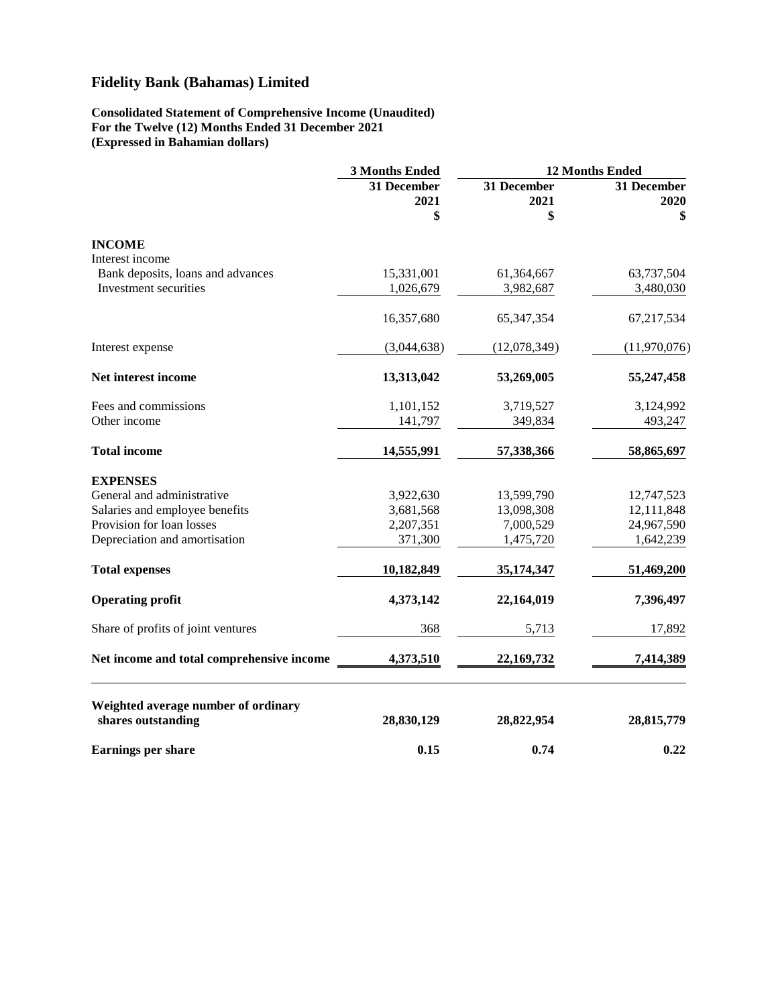### **Consolidated Statement of Comprehensive Income (Unaudited) For the Twelve (12) Months Ended 31 December 2021 (Expressed in Bahamian dollars)**

|                                                           | 3 Months Ended            | 12 Months Ended           |                           |  |
|-----------------------------------------------------------|---------------------------|---------------------------|---------------------------|--|
|                                                           | 31 December<br>2021<br>\$ | 31 December<br>2021<br>\$ | 31 December<br>2020<br>\$ |  |
| <b>INCOME</b>                                             |                           |                           |                           |  |
| Interest income                                           |                           |                           |                           |  |
| Bank deposits, loans and advances                         | 15,331,001                | 61,364,667                | 63,737,504                |  |
| Investment securities                                     | 1,026,679                 | 3,982,687                 | 3,480,030                 |  |
|                                                           | 16,357,680                | 65, 347, 354              | 67,217,534                |  |
| Interest expense                                          | (3,044,638)               | (12,078,349)              | (11,970,076)              |  |
| Net interest income                                       | 13,313,042                | 53,269,005                | 55,247,458                |  |
| Fees and commissions                                      | 1,101,152                 | 3,719,527                 | 3,124,992                 |  |
| Other income                                              | 141,797                   | 349,834                   | 493,247                   |  |
| <b>Total income</b>                                       | 14,555,991                | 57,338,366                | 58,865,697                |  |
| <b>EXPENSES</b>                                           |                           |                           |                           |  |
| General and administrative                                | 3,922,630                 | 13,599,790                | 12,747,523                |  |
| Salaries and employee benefits                            | 3,681,568                 | 13,098,308                | 12,111,848                |  |
| Provision for loan losses                                 | 2,207,351                 | 7,000,529                 | 24,967,590                |  |
| Depreciation and amortisation                             | 371,300                   | 1,475,720                 | 1,642,239                 |  |
| <b>Total expenses</b>                                     | 10,182,849                | 35,174,347                | 51,469,200                |  |
| <b>Operating profit</b>                                   | 4,373,142                 | 22,164,019                | 7,396,497                 |  |
| Share of profits of joint ventures                        | 368                       | 5,713                     | 17,892                    |  |
| Net income and total comprehensive income                 | 4,373,510                 | 22,169,732                | 7,414,389                 |  |
| Weighted average number of ordinary<br>shares outstanding | 28,830,129                | 28,822,954                | 28,815,779                |  |
|                                                           |                           |                           |                           |  |
| <b>Earnings per share</b>                                 | 0.15                      | 0.74                      | 0.22                      |  |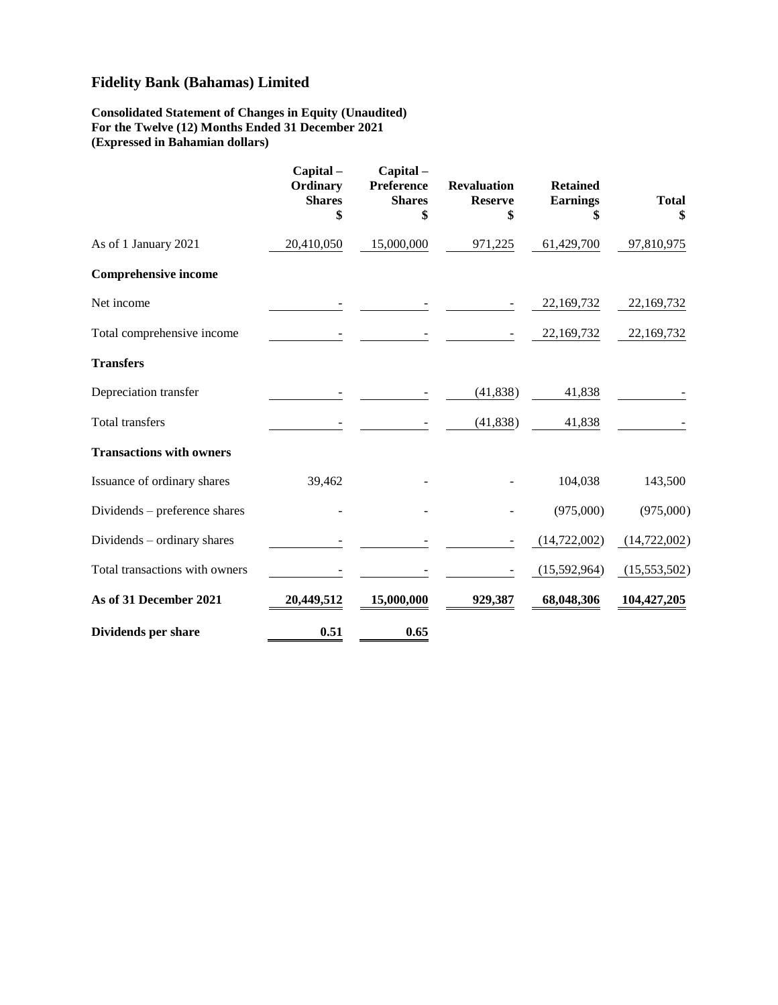### **Consolidated Statement of Changes in Equity (Unaudited) For the Twelve (12) Months Ended 31 December 2021 (Expressed in Bahamian dollars)**

|                                 | Capital-<br>Ordinary<br><b>Shares</b><br>\$ | Capital-<br>Preference<br><b>Shares</b><br>\$ | <b>Revaluation</b><br><b>Reserve</b><br>\$ | <b>Retained</b><br><b>Earnings</b><br>\$ | <b>Total</b><br>\$ |
|---------------------------------|---------------------------------------------|-----------------------------------------------|--------------------------------------------|------------------------------------------|--------------------|
| As of 1 January 2021            | 20,410,050                                  | 15,000,000                                    | 971,225                                    | 61,429,700                               | 97,810,975         |
| <b>Comprehensive income</b>     |                                             |                                               |                                            |                                          |                    |
| Net income                      |                                             |                                               |                                            | 22, 169, 732                             | 22,169,732         |
| Total comprehensive income      |                                             |                                               |                                            | 22,169,732                               | 22,169,732         |
| <b>Transfers</b>                |                                             |                                               |                                            |                                          |                    |
| Depreciation transfer           |                                             |                                               | (41, 838)                                  | 41,838                                   |                    |
| <b>Total transfers</b>          |                                             |                                               | (41, 838)                                  | 41,838                                   |                    |
| <b>Transactions with owners</b> |                                             |                                               |                                            |                                          |                    |
| Issuance of ordinary shares     | 39,462                                      |                                               |                                            | 104,038                                  | 143,500            |
| Dividends – preference shares   |                                             |                                               |                                            | (975,000)                                | (975,000)          |
| Dividends – ordinary shares     |                                             |                                               |                                            | (14, 722, 002)                           | (14, 722, 002)     |
| Total transactions with owners  |                                             |                                               |                                            | (15,592,964)                             | (15,553,502)       |
| As of 31 December 2021          | 20,449,512                                  | 15,000,000                                    | 929,387                                    | 68,048,306                               | 104,427,205        |
| Dividends per share             | 0.51                                        | 0.65                                          |                                            |                                          |                    |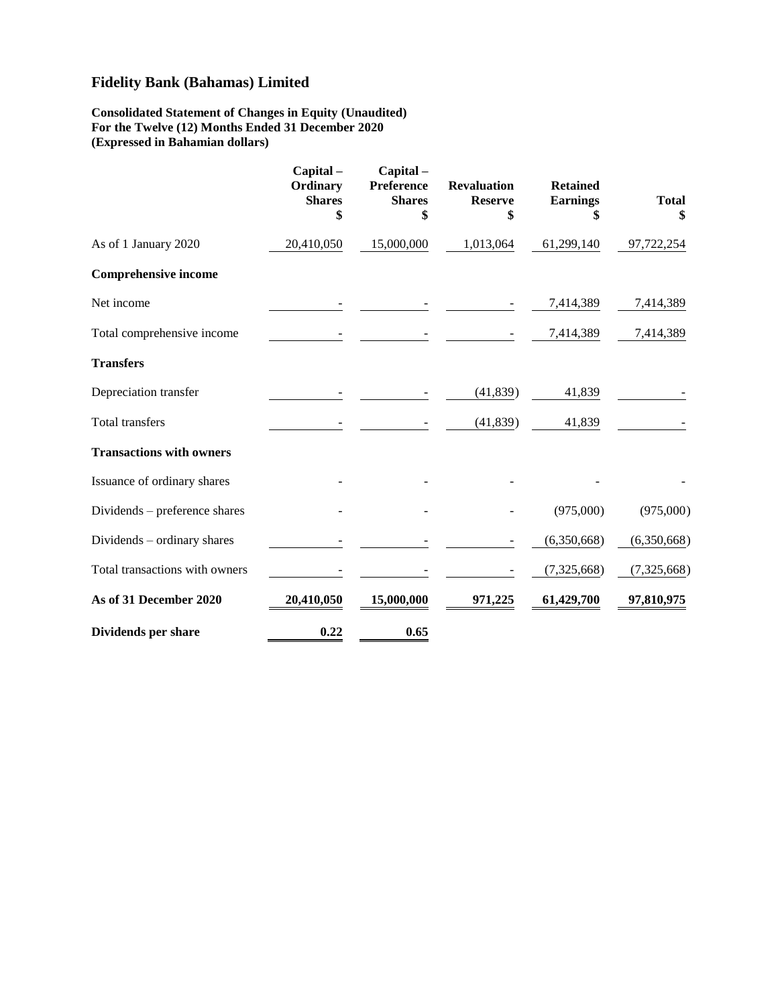### **Consolidated Statement of Changes in Equity (Unaudited) For the Twelve (12) Months Ended 31 December 2020 (Expressed in Bahamian dollars)**

|                                 | Capital-<br>Ordinary<br><b>Shares</b><br>\$ | Capital-<br>Preference<br><b>Shares</b><br>\$ | <b>Revaluation</b><br><b>Reserve</b><br>\$ | <b>Retained</b><br><b>Earnings</b><br>\$ | <b>Total</b><br>\$ |
|---------------------------------|---------------------------------------------|-----------------------------------------------|--------------------------------------------|------------------------------------------|--------------------|
| As of 1 January 2020            | 20,410,050                                  | 15,000,000                                    | 1,013,064                                  | 61,299,140                               | 97,722,254         |
| <b>Comprehensive income</b>     |                                             |                                               |                                            |                                          |                    |
| Net income                      |                                             |                                               |                                            | 7,414,389                                | 7,414,389          |
| Total comprehensive income      |                                             |                                               |                                            | 7,414,389                                | 7,414,389          |
| <b>Transfers</b>                |                                             |                                               |                                            |                                          |                    |
| Depreciation transfer           |                                             |                                               | (41, 839)                                  | 41,839                                   |                    |
| <b>Total transfers</b>          |                                             |                                               | (41, 839)                                  | 41,839                                   |                    |
| <b>Transactions with owners</b> |                                             |                                               |                                            |                                          |                    |
| Issuance of ordinary shares     |                                             |                                               |                                            |                                          |                    |
| Dividends – preference shares   |                                             |                                               |                                            | (975,000)                                | (975,000)          |
| Dividends – ordinary shares     |                                             |                                               |                                            | (6,350,668)                              | (6,350,668)        |
| Total transactions with owners  |                                             |                                               |                                            | (7, 325, 668)                            | (7,325,668)        |
| As of 31 December 2020          | 20,410,050                                  | 15,000,000                                    | 971,225                                    | 61,429,700                               | 97,810,975         |
| Dividends per share             | 0.22                                        | 0.65                                          |                                            |                                          |                    |